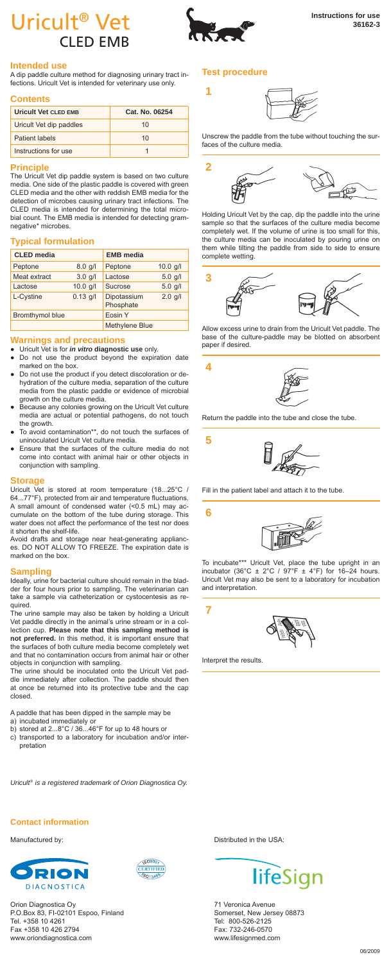# Uricult<sup>®</sup> Vet **Instructions for use** CLED EMB



**1**

# **Intended use**

A dip paddle culture method for diagnosing urinary tract in-<br>fections. Uricult Vet is intended for veterinary use only fections. Uricult Vet is intended for veterinary use only.

#### **Contents**

| Uricult Vet CLED EMB    | Cat. No. 06254 |
|-------------------------|----------------|
| Uricult Vet dip paddles | 10             |
| Patient labels          | 10             |
| Instructions for use    |                |

# **Principle**

The Uricult Vet dip paddle system is based on two culture media. One side of the plastic paddle is covered with green CLED media and the other with reddish EMB media for the detection of microbes causing urinary tract infections. The CLED media is intended for determining the total microbial count. The EMB media is intended for detecting gramnegative\* microbes.

# **Typical formulation**

| <b>CLED</b> media |            | <b>EMB</b> media         |            |
|-------------------|------------|--------------------------|------------|
| Peptone           | $8.0$ g/l  | Peptone                  | $10.0$ g/l |
| Meat extract      | $3.0$ g/l  | Lactose                  | $5.0$ g/l  |
| Lactose           | $10.0$ g/l | Sucrose                  | $5.0$ g/l  |
| L-Cystine         | $0.13$ q/l | Dipotassium<br>Phosphate | $2.0$ g/l  |
| Bromthymol blue   |            | Eosin Y                  |            |
|                   |            | Methylene Blue           |            |

# **Warnings and precautions**

Uricult Vet is for *in vitro* diagnostic use only.

- Do not use the product beyond the expiration date marked on the box.
- Do not use the product if you detect discoloration or dehydration of the culture media, separation of the culture media from the plastic paddle or evidence of microbial growth on the culture media.
- Because any colonies growing on the Uricult Vet culture media are actual or potential pathogens, do not touch the growth.
- To avoid contamination\*\*, do not touch the surfaces of uninoculated Uricult Vet culture media.
- Ensure that the surfaces of the culture media do not come into contact with animal hair or other objects in conjunction with sampling.

# **Storage**

Uricult Vet is stored at room temperature (18...25°C / 64...77°F), protected from air and temperature fluctuations. A small amount of condensed water (<0.5 mL) may accumulate on the bottom of the tube during storage. This water does not affect the performance of the test nor does it shorten the shelf-life.

Avoid drafts and storage near heat-generating appliances. DO NOT ALLOW TO FREEZE. The expiration date is marked on the box.

#### **Sampling**

Ideally, urine for bacterial culture should remain in the bladder for four hours prior to sampling. The veterinarian can take a sample via catheterization or cystocentesis as required.

The urine sample may also be taken by holding a Uricult Vet paddle directly in the animal's urine stream or in a collection cup. **Please note that this sampling method is not preferred.** In this method, it is important ensure that the surfaces of both culture media become completely wet and that no contamination occurs from animal hair or other objects in conjunction with sampling.

The urine should be inoculated onto the Uricult Vet paddle immediately after collection. The paddle should then at once be returned into its protective tube and the cap closed.

A paddle that has been dipped in the sample may be

- a) incubated immediately or
- b) stored at 2...8°C / 36...46°F for up to 48 hours or c) transported to a laboratory for incubation and/or interpretation

*Uricult® is a registered trademark of Orion Diagnostica Oy.*

# **Contact information**





Orion Diagnostica Oy P.O.Box 83, FI-02101 Espoo, Finland Tel. +358 10 4261 Fax +358 10 426 2794 www.oriondiagnostica.com

**Test procedure**



Unscrew the paddle from the tube without touching the surfaces of the culture media.



Holding Uricult Vet by the cap, dip the paddle into the urine sample so that the surfaces of the culture media become completely wet. If the volume of urine is too small for this, the culture media can be inoculated by pouring urine on them while tilting the paddle from side to side to ensure complete wetting.



Allow excess urine to drain from the Uricult Vet paddle. The base of the culture-paddle may be blotted on absorbent paper if desired.



Return the paddle into the tube and close the tube.



Fill in the patient label and attach it to the tube.



To incubate\*\*\* Uricult Vet, place the tube upright in an incubator (36°C  $\pm$  2°C / 97°F  $\pm$  4°F) for 16–24 hours. Uricult Vet may also be sent to a laboratory for incubation and interpretation.

**7**

**5**

**6**



Interpret the results.

Manufactured by:  $\blacksquare$  Distributed in the USA:



71 Veronica Avenue Somerset, New Jersey 08873 Tel: 800-526-2125 Fax: 732-246-0570 www.lifesignmed.com